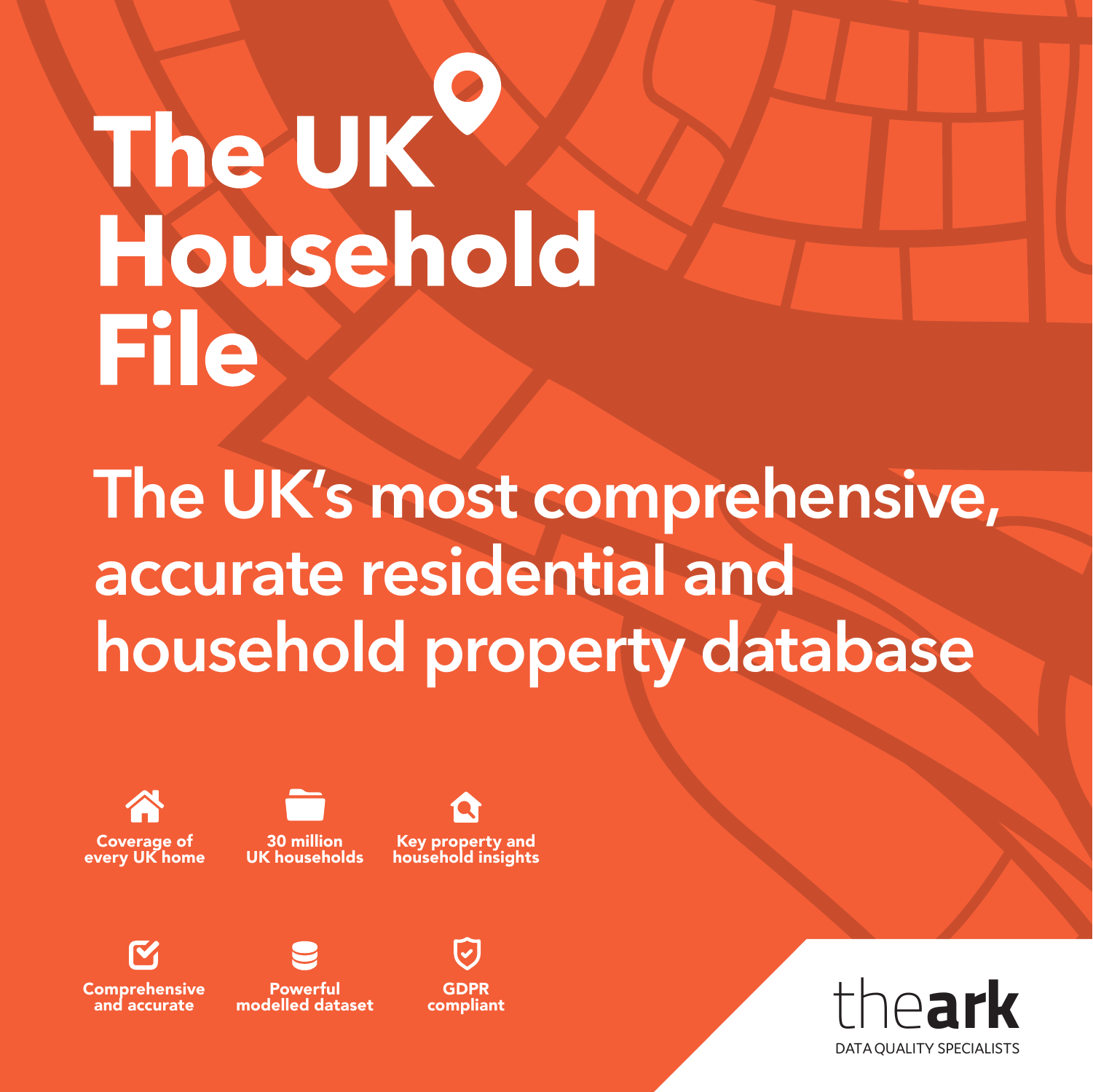### The UK Household **File**

**The UK's most comprehensive, accurate residential and household property database**



30 million UK households

Key property and household insights



**Comprehensive** and accurate



Powerful modelled dataset

GDPR compliant

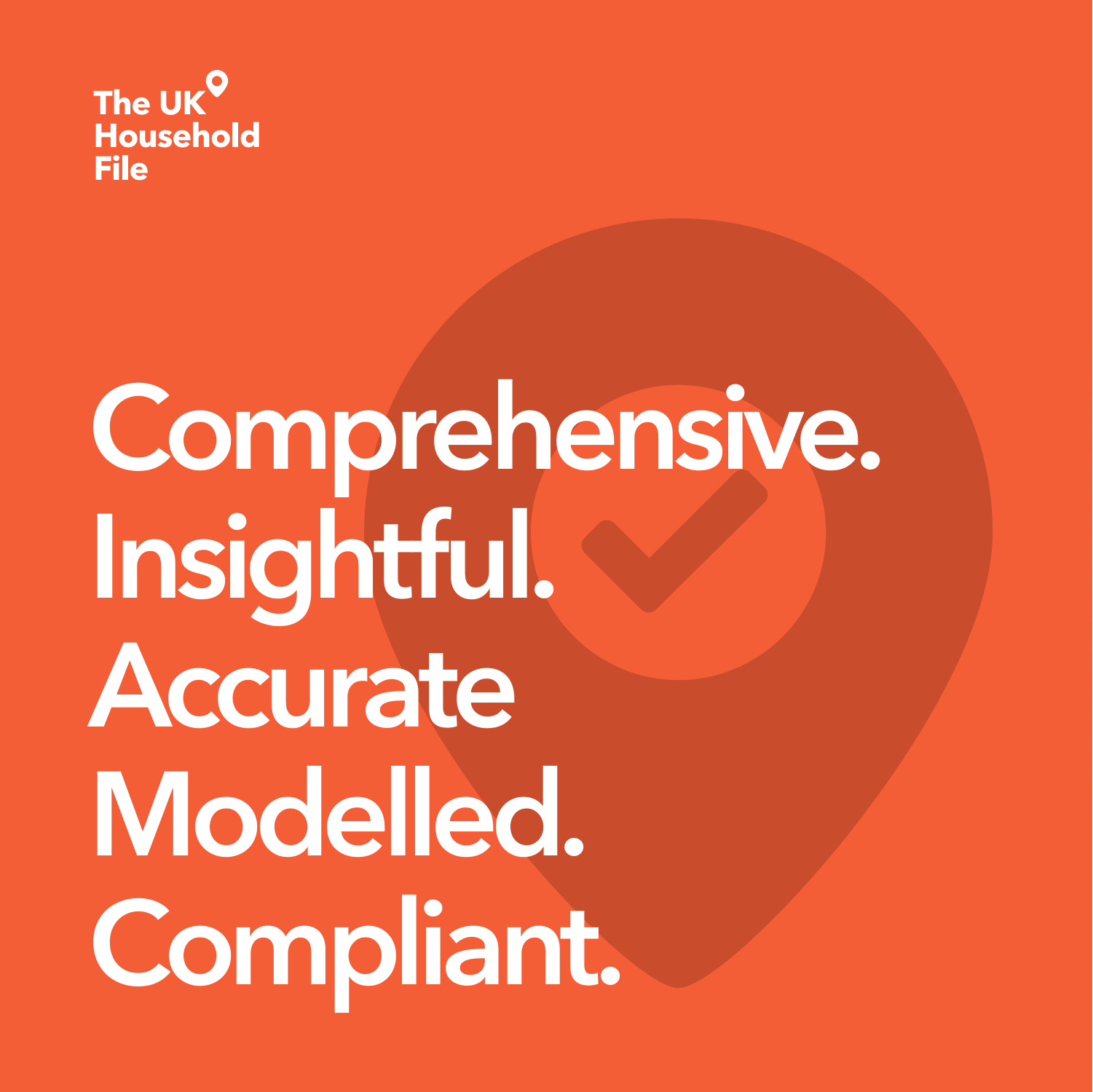

# **Comprehensive. Insightful. Accurate Modelled. Compliant.**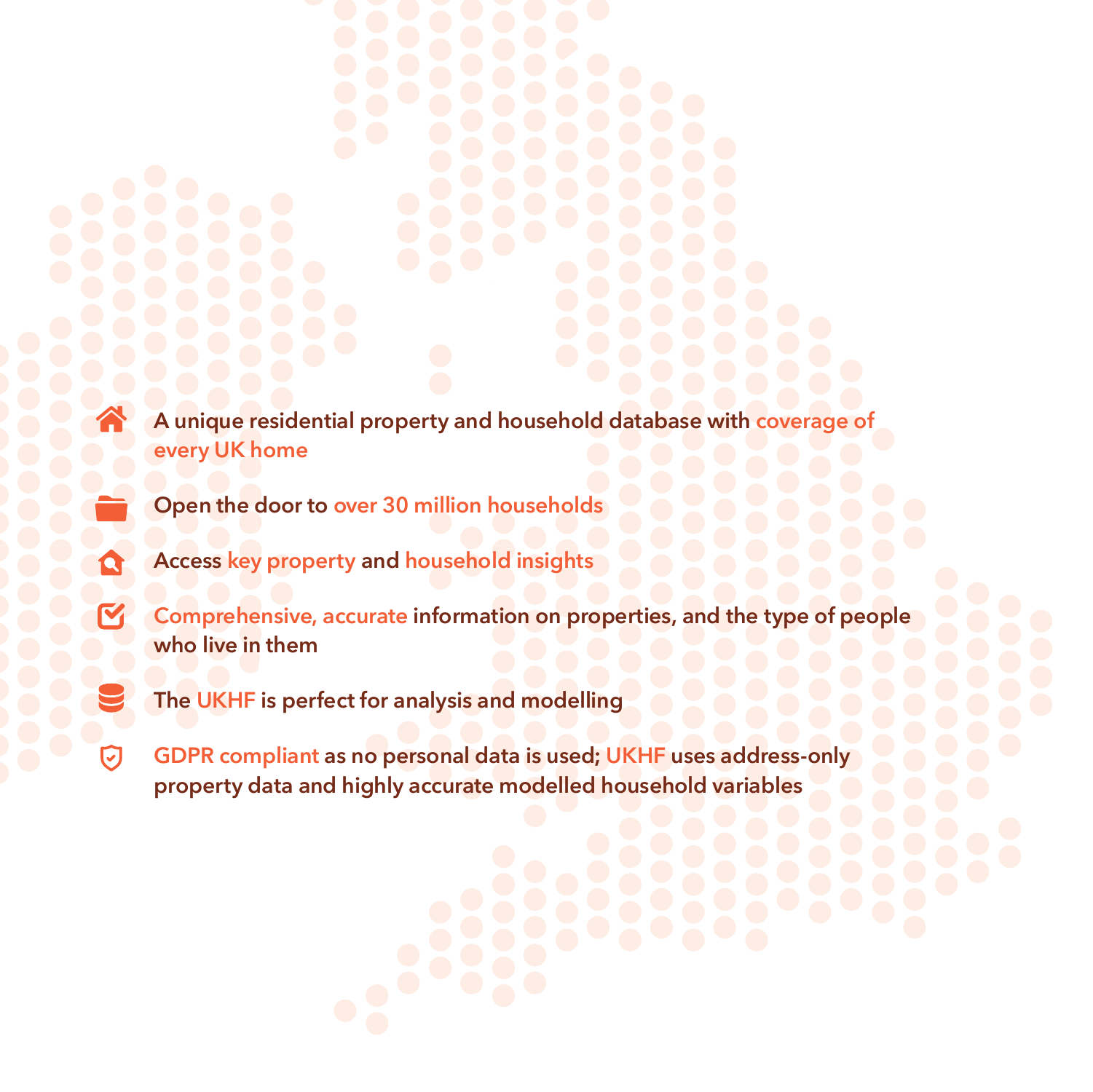- **A unique residential property and household database with coverage of every UK home**
- **Open the door to over 30 million households**
- **Access key property and household insights**
- **Comprehensive, accurate information on properties, and the type of people who live in them**
- **The UKHF is perfect for analysis and modelling**
- **GDPR compliant as no personal data is used; UKHF uses address-only**  ☑ **property data and highly accurate modelled household variables**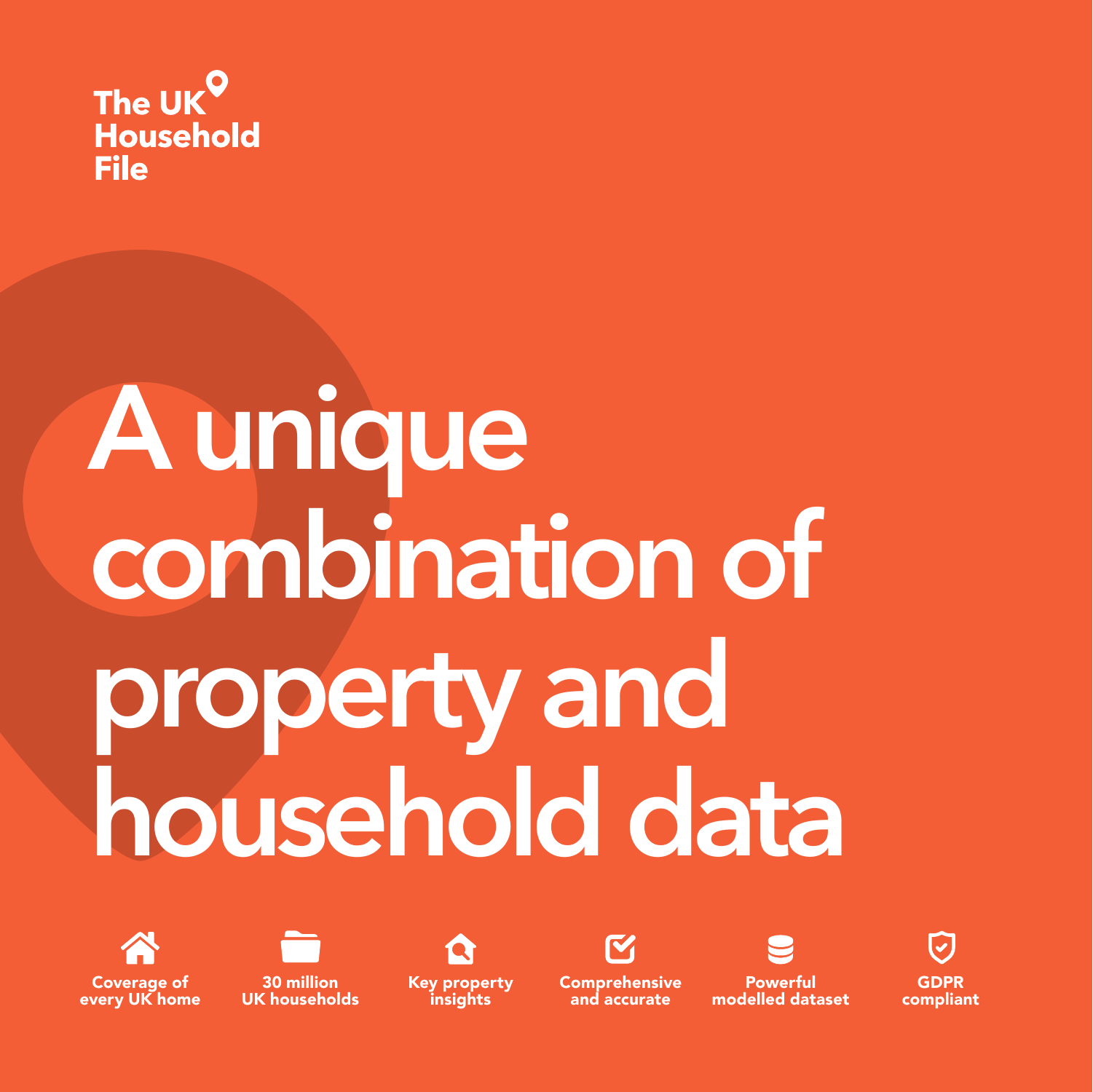

### **A unique combination of property and household data**



every UK home



30 million UK households Key property insights



and accurate

Powerful modelled dataset

GDPR compliant

 $\overline{\mathcal{L}}$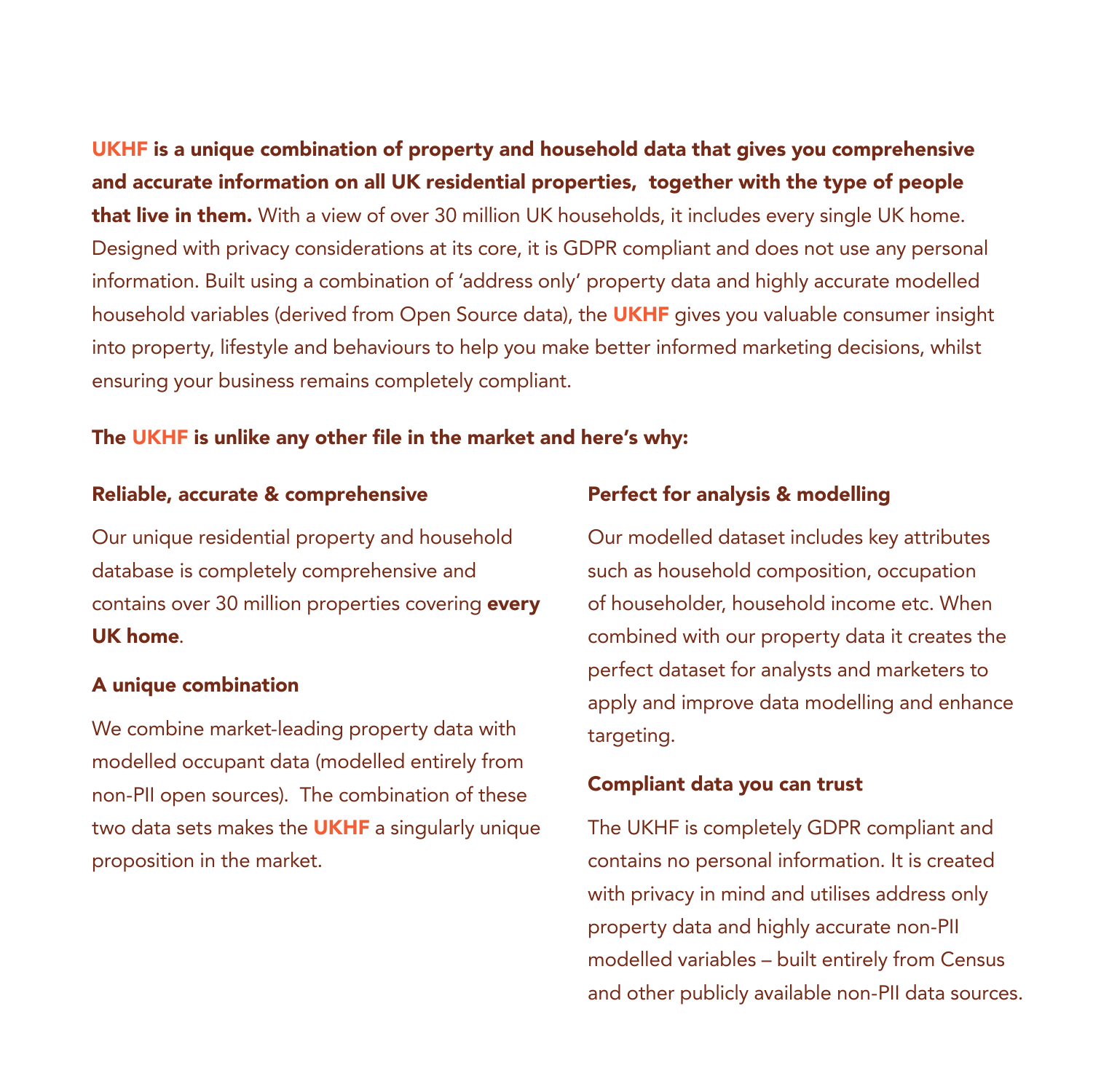UKHF is a unique combination of property and household data that gives you comprehensive and accurate information on all UK residential properties, together with the type of people that live in them. With a view of over 30 million UK households, it includes every single UK home. Designed with privacy considerations at its core, it is GDPR compliant and does not use any personal information. Built using a combination of 'address only' property data and highly accurate modelled household variables (derived from Open Source data), the **UKHF** gives you valuable consumer insight into property, lifestyle and behaviours to help you make better informed marketing decisions, whilst ensuring your business remains completely compliant.

#### The UKHF is unlike any other file in the market and here's why:

#### Reliable, accurate & comprehensive

Our unique residential property and household database is completely comprehensive and contains over 30 million properties covering every UK home.

#### A unique combination

We combine market-leading property data with modelled occupant data (modelled entirely from non-PII open sources). The combination of these two data sets makes the **UKHF** a singularly unique proposition in the market.

#### Perfect for analysis & modelling

Our modelled dataset includes key attributes such as household composition, occupation of householder, household income etc. When combined with our property data it creates the perfect dataset for analysts and marketers to apply and improve data modelling and enhance targeting.

#### Compliant data you can trust

The UKHF is completely GDPR compliant and contains no personal information. It is created with privacy in mind and utilises address only property data and highly accurate non-PII modelled variables – built entirely from Census and other publicly available non-PII data sources.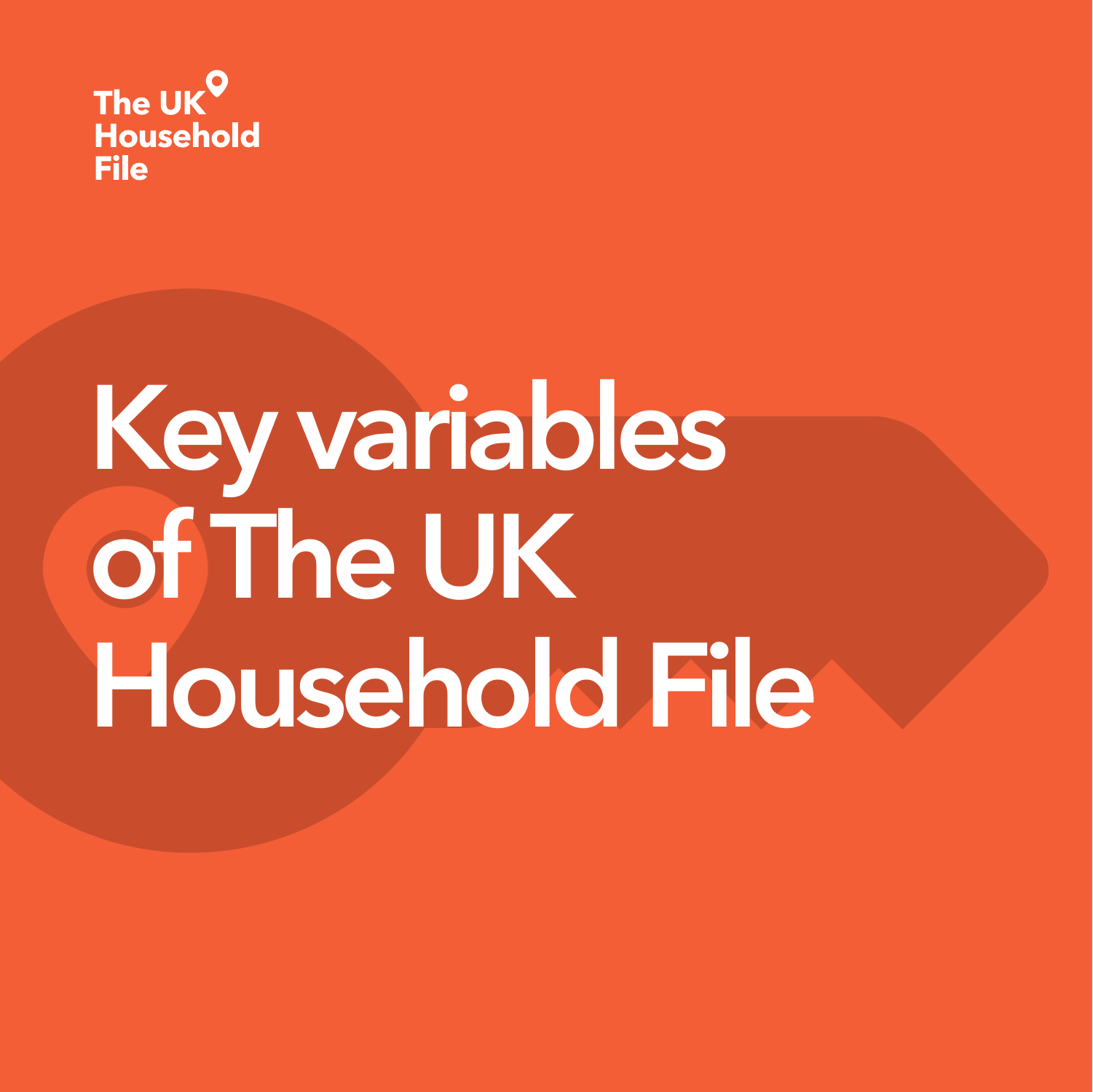

# **Key variables of The UK Household File**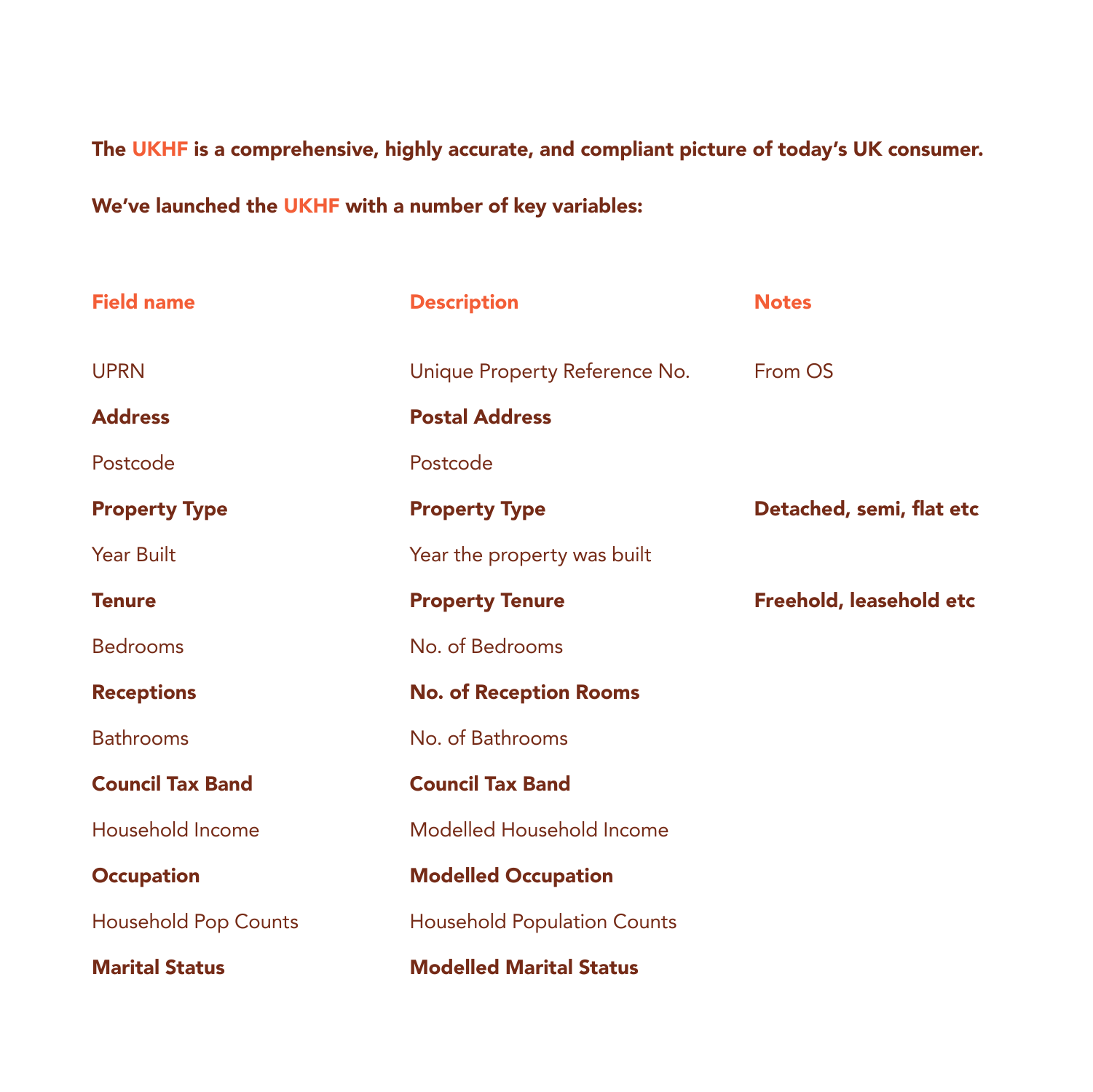The UKHF is a comprehensive, highly accurate, and compliant picture of today's UK consumer.

We've launched the UKHF with a number of key variables:

| <b>Field name</b>           | <b>Description</b>                 | <b>Notes</b>             |
|-----------------------------|------------------------------------|--------------------------|
| <b>UPRN</b>                 | Unique Property Reference No.      | From OS                  |
| <b>Address</b>              | <b>Postal Address</b>              |                          |
| Postcode                    | Postcode                           |                          |
| <b>Property Type</b>        | <b>Property Type</b>               | Detached, semi, flat etc |
| <b>Year Built</b>           | Year the property was built        |                          |
| <b>Tenure</b>               | <b>Property Tenure</b>             | Freehold, leasehold etc  |
| <b>Bedrooms</b>             | No. of Bedrooms                    |                          |
| <b>Receptions</b>           | <b>No. of Reception Rooms</b>      |                          |
| <b>Bathrooms</b>            | No. of Bathrooms                   |                          |
| <b>Council Tax Band</b>     | <b>Council Tax Band</b>            |                          |
| Household Income            | Modelled Household Income          |                          |
| <b>Occupation</b>           | <b>Modelled Occupation</b>         |                          |
| <b>Household Pop Counts</b> | <b>Household Population Counts</b> |                          |
| <b>Marital Status</b>       | <b>Modelled Marital Status</b>     |                          |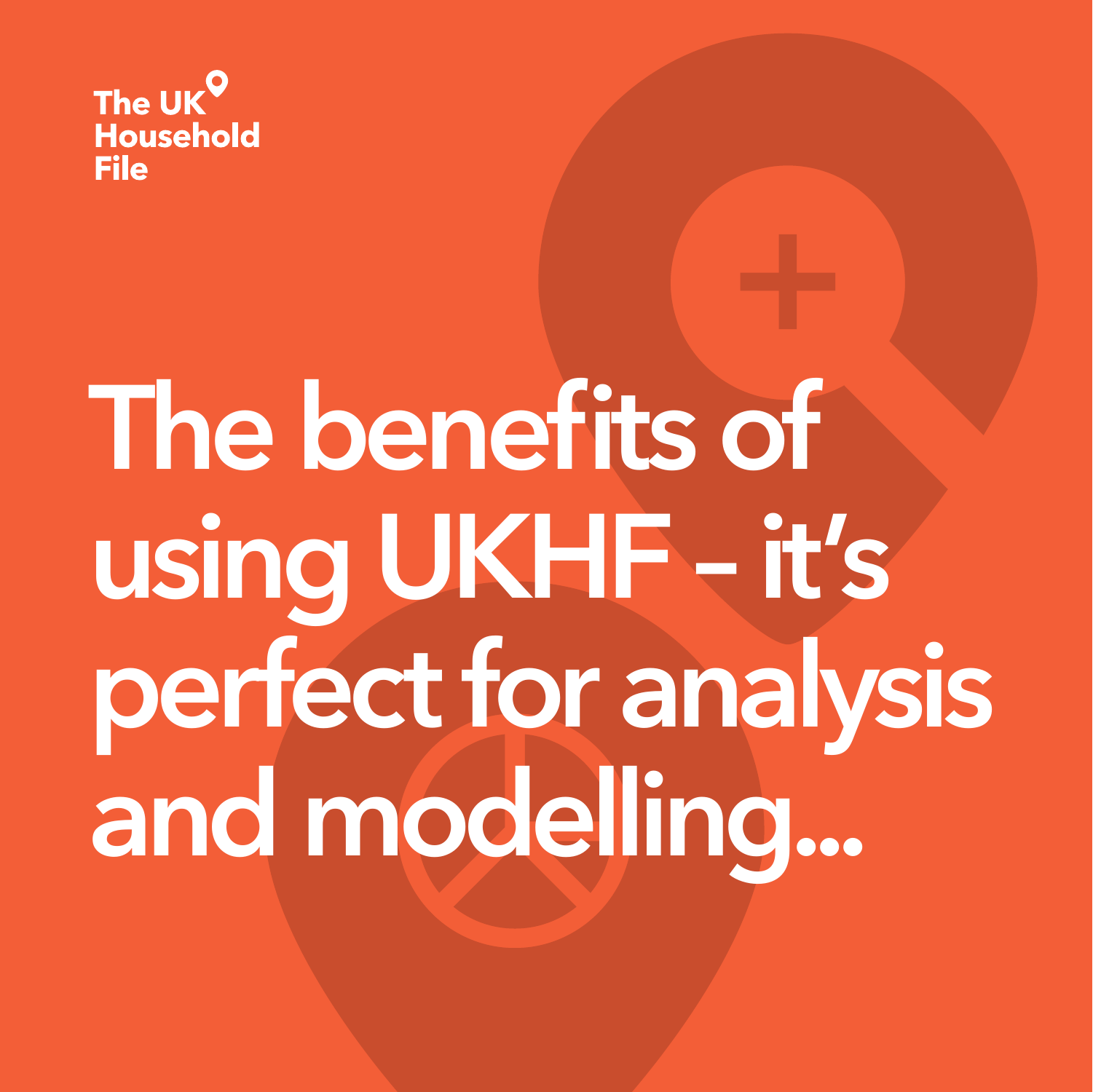

# **The benefits of using UKHF – it's perfect for analysis and modelling...**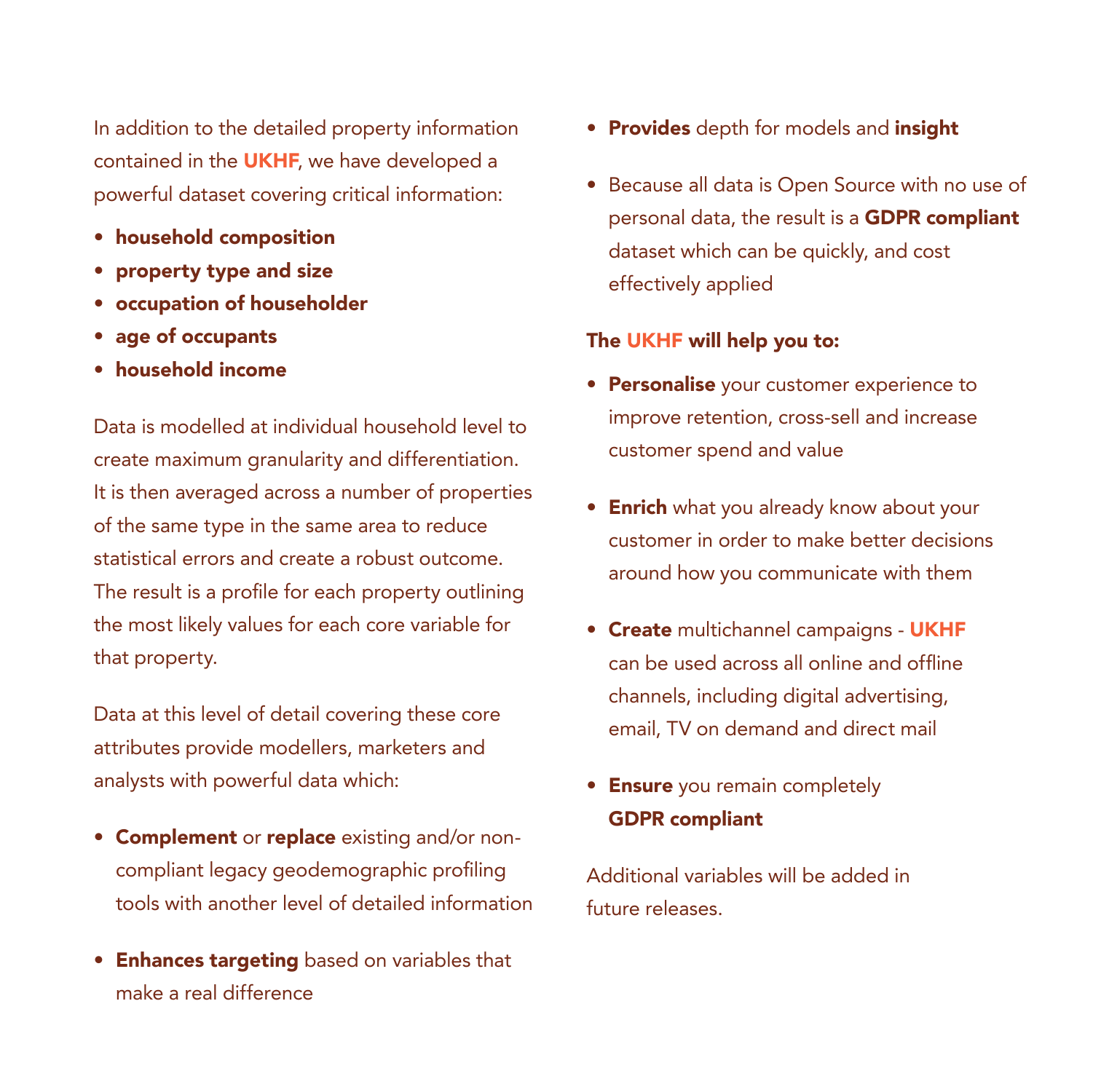In addition to the detailed property information contained in the **UKHF**, we have developed a powerful dataset covering critical information:

- household composition
- property type and size
- occupation of householder
- age of occupants
- household income

Data is modelled at individual household level to create maximum granularity and differentiation. It is then averaged across a number of properties of the same type in the same area to reduce statistical errors and create a robust outcome. The result is a profile for each property outlining the most likely values for each core variable for that property.

Data at this level of detail covering these core attributes provide modellers, marketers and analysts with powerful data which:

- Complement or replace existing and/or noncompliant legacy geodemographic profiling tools with another level of detailed information
- Enhances targeting based on variables that make a real difference
- Provides depth for models and insight
- Because all data is Open Source with no use of personal data, the result is a GDPR compliant dataset which can be quickly, and cost effectively applied

#### The UKHF will help you to:

- Personalise your customer experience to improve retention, cross-sell and increase customer spend and value
- Enrich what you already know about your customer in order to make better decisions around how you communicate with them
- Create multichannel campaigns UKHF can be used across all online and offline channels, including digital advertising, email, TV on demand and direct mail
- Ensure you remain completely GDPR compliant

Additional variables will be added in future releases.